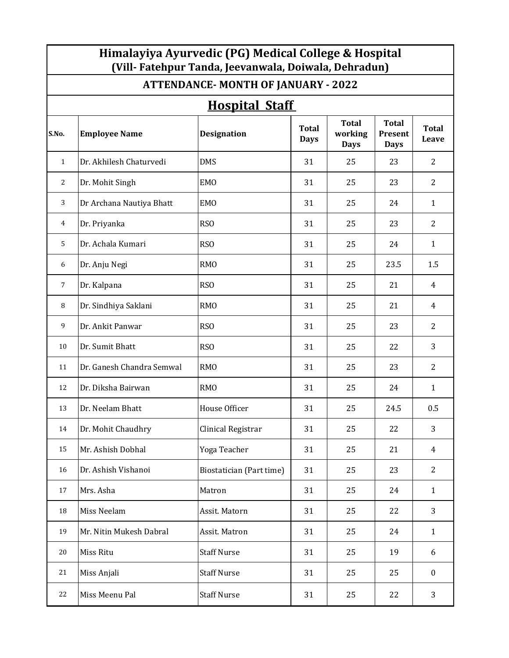| Himalayiya Ayurvedic (PG) Medical College & Hospital<br>(Vill-Fatehpur Tanda, Jeevanwala, Doiwala, Dehradun) |                                           |                          |                             |                                        |                                               |                       |  |
|--------------------------------------------------------------------------------------------------------------|-------------------------------------------|--------------------------|-----------------------------|----------------------------------------|-----------------------------------------------|-----------------------|--|
|                                                                                                              | <b>ATTENDANCE-MONTH OF JANUARY - 2022</b> |                          |                             |                                        |                                               |                       |  |
|                                                                                                              | <b>Hospital Staff</b>                     |                          |                             |                                        |                                               |                       |  |
| S.No.                                                                                                        | <b>Employee Name</b>                      | <b>Designation</b>       | <b>Total</b><br><b>Days</b> | <b>Total</b><br>working<br><b>Days</b> | <b>Total</b><br><b>Present</b><br><b>Days</b> | <b>Total</b><br>Leave |  |
| $\mathbf{1}$                                                                                                 | Dr. Akhilesh Chaturvedi                   | <b>DMS</b>               | 31                          | 25                                     | 23                                            | $\overline{2}$        |  |
| 2                                                                                                            | Dr. Mohit Singh                           | <b>EMO</b>               | 31                          | 25                                     | 23                                            | $\overline{2}$        |  |
| 3                                                                                                            | Dr Archana Nautiya Bhatt                  | <b>EMO</b>               | 31                          | 25                                     | 24                                            | $\mathbf{1}$          |  |
| 4                                                                                                            | Dr. Priyanka                              | RS <sub>O</sub>          | 31                          | 25                                     | 23                                            | $\overline{2}$        |  |
| 5                                                                                                            | Dr. Achala Kumari                         | RS <sub>O</sub>          | 31                          | 25                                     | 24                                            | $\mathbf{1}$          |  |
| 6                                                                                                            | Dr. Anju Negi                             | <b>RMO</b>               | 31                          | 25                                     | 23.5                                          | 1.5                   |  |
| 7                                                                                                            | Dr. Kalpana                               | RS <sub>O</sub>          | 31                          | 25                                     | 21                                            | 4                     |  |
| 8                                                                                                            | Dr. Sindhiya Saklani                      | <b>RMO</b>               | 31                          | 25                                     | 21                                            | 4                     |  |
| 9                                                                                                            | Dr. Ankit Panwar                          | <b>RSO</b>               | 31                          | 25                                     | 23                                            | $\overline{2}$        |  |
| 10                                                                                                           | Dr. Sumit Bhatt                           | RS <sub>O</sub>          | 31                          | 25                                     | 22                                            | 3                     |  |
| 11                                                                                                           | Dr. Ganesh Chandra Semwal                 | <b>RMO</b>               | 31                          | 25                                     | 23                                            | $\overline{2}$        |  |
| 12                                                                                                           | Dr. Diksha Bairwan                        | <b>RMO</b>               | 31                          | 25                                     | 24                                            | $\mathbf{1}$          |  |
| 13                                                                                                           | Dr. Neelam Bhatt                          | House Officer            | 31                          | 25                                     | 24.5                                          | 0.5                   |  |
| 14                                                                                                           | Dr. Mohit Chaudhry                        | Clinical Registrar       | 31                          | 25                                     | 22                                            | 3                     |  |
| 15                                                                                                           | Mr. Ashish Dobhal                         | Yoga Teacher             | 31                          | 25                                     | 21                                            | $\overline{4}$        |  |
| 16                                                                                                           | Dr. Ashish Vishanoi                       | Biostatician (Part time) | 31                          | 25                                     | 23                                            | $\overline{2}$        |  |
| 17                                                                                                           | Mrs. Asha                                 | Matron                   | 31                          | 25                                     | 24                                            | $\mathbf{1}$          |  |
| 18                                                                                                           | Miss Neelam                               | Assit. Matorn            | 31                          | 25                                     | 22                                            | 3                     |  |
| 19                                                                                                           | Mr. Nitin Mukesh Dabral                   | Assit. Matron            | 31                          | 25                                     | 24                                            | $\mathbf{1}$          |  |
| 20                                                                                                           | Miss Ritu                                 | <b>Staff Nurse</b>       | 31                          | 25                                     | 19                                            | 6                     |  |
| 21                                                                                                           | Miss Anjali                               | <b>Staff Nurse</b>       | 31                          | 25                                     | 25                                            | $\boldsymbol{0}$      |  |
| 22                                                                                                           | Miss Meenu Pal                            | <b>Staff Nurse</b>       | 31                          | 25                                     | 22                                            | 3                     |  |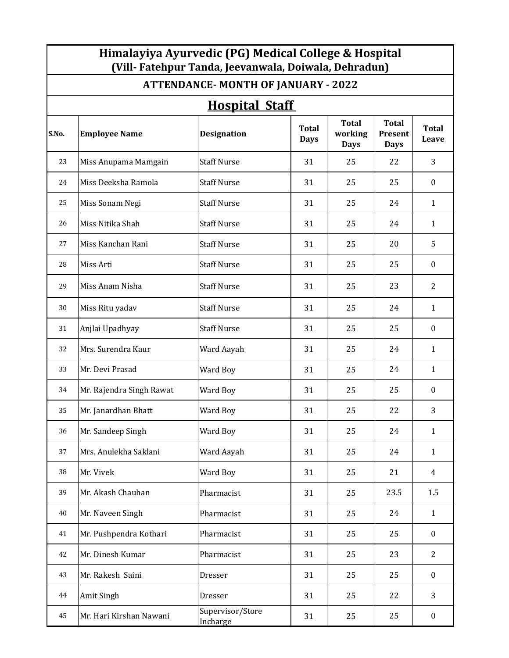| Himalayiya Ayurvedic (PG) Medical College & Hospital<br>(Vill- Fatehpur Tanda, Jeevanwala, Doiwala, Dehradun) |                                            |                              |                             |                                        |                                               |                  |  |  |
|---------------------------------------------------------------------------------------------------------------|--------------------------------------------|------------------------------|-----------------------------|----------------------------------------|-----------------------------------------------|------------------|--|--|
|                                                                                                               | <b>ATTENDANCE- MONTH OF JANUARY - 2022</b> |                              |                             |                                        |                                               |                  |  |  |
|                                                                                                               | <b>Hospital Staff</b>                      |                              |                             |                                        |                                               |                  |  |  |
| S.No.                                                                                                         | <b>Employee Name</b>                       | <b>Designation</b>           | <b>Total</b><br><b>Days</b> | <b>Total</b><br>working<br><b>Days</b> | <b>Total</b><br><b>Present</b><br><b>Days</b> | Total<br>Leave   |  |  |
| 23                                                                                                            | Miss Anupama Mamgain                       | <b>Staff Nurse</b>           | 31                          | 25                                     | 22                                            | 3                |  |  |
| 24                                                                                                            | Miss Deeksha Ramola                        | <b>Staff Nurse</b>           | 31                          | 25                                     | 25                                            | $\boldsymbol{0}$ |  |  |
| 25                                                                                                            | Miss Sonam Negi                            | <b>Staff Nurse</b>           | 31                          | 25                                     | 24                                            | $\mathbf{1}$     |  |  |
| 26                                                                                                            | Miss Nitika Shah                           | <b>Staff Nurse</b>           | 31                          | 25                                     | 24                                            | $\mathbf{1}$     |  |  |
| 27                                                                                                            | Miss Kanchan Rani                          | <b>Staff Nurse</b>           | 31                          | 25                                     | 20                                            | 5                |  |  |
| 28                                                                                                            | Miss Arti                                  | <b>Staff Nurse</b>           | 31                          | 25                                     | 25                                            | $\boldsymbol{0}$ |  |  |
| 29                                                                                                            | Miss Anam Nisha                            | <b>Staff Nurse</b>           | 31                          | 25                                     | 23                                            | $\overline{2}$   |  |  |
| 30                                                                                                            | Miss Ritu yadav                            | <b>Staff Nurse</b>           | 31                          | 25                                     | 24                                            | $\mathbf{1}$     |  |  |
| 31                                                                                                            | Anjlai Upadhyay                            | <b>Staff Nurse</b>           | 31                          | 25                                     | 25                                            | $\boldsymbol{0}$ |  |  |
| 32                                                                                                            | Mrs. Surendra Kaur                         | Ward Aayah                   | 31                          | 25                                     | 24                                            | $\mathbf{1}$     |  |  |
| 33                                                                                                            | Mr. Devi Prasad                            | Ward Boy                     | 31                          | 25                                     | 24                                            | $\mathbf{1}$     |  |  |
| 34                                                                                                            | Mr. Rajendra Singh Rawat                   | Ward Boy                     | 31                          | 25                                     | 25                                            | $\boldsymbol{0}$ |  |  |
| 35                                                                                                            | Mr. Janardhan Bhatt                        | Ward Boy                     | 31                          | 25                                     | 22                                            | 3                |  |  |
| 36                                                                                                            | Mr. Sandeep Singh                          | Ward Boy                     | 31                          | 25                                     | 24                                            | $\mathbf{1}$     |  |  |
| 37                                                                                                            | Mrs. Anulekha Saklani                      | Ward Aayah                   | 31                          | 25                                     | 24                                            | $\mathbf{1}$     |  |  |
| 38                                                                                                            | Mr. Vivek                                  | Ward Boy                     | 31                          | 25                                     | 21                                            | $\overline{4}$   |  |  |
| 39                                                                                                            | Mr. Akash Chauhan                          | Pharmacist                   | 31                          | 25                                     | 23.5                                          | 1.5              |  |  |
| 40                                                                                                            | Mr. Naveen Singh                           | Pharmacist                   | 31                          | 25                                     | 24                                            | $\mathbf{1}$     |  |  |
| 41                                                                                                            | Mr. Pushpendra Kothari                     | Pharmacist                   | 31                          | 25                                     | 25                                            | $\boldsymbol{0}$ |  |  |
| 42                                                                                                            | Mr. Dinesh Kumar                           | Pharmacist                   | 31                          | 25                                     | 23                                            | $\overline{2}$   |  |  |
| 43                                                                                                            | Mr. Rakesh Saini                           | Dresser                      | 31                          | 25                                     | 25                                            | $\boldsymbol{0}$ |  |  |
| 44                                                                                                            | Amit Singh                                 | Dresser                      | 31                          | 25                                     | 22                                            | 3                |  |  |
| 45                                                                                                            | Mr. Hari Kirshan Nawani                    | Supervisor/Store<br>Incharge | 31                          | 25                                     | 25                                            | $\boldsymbol{0}$ |  |  |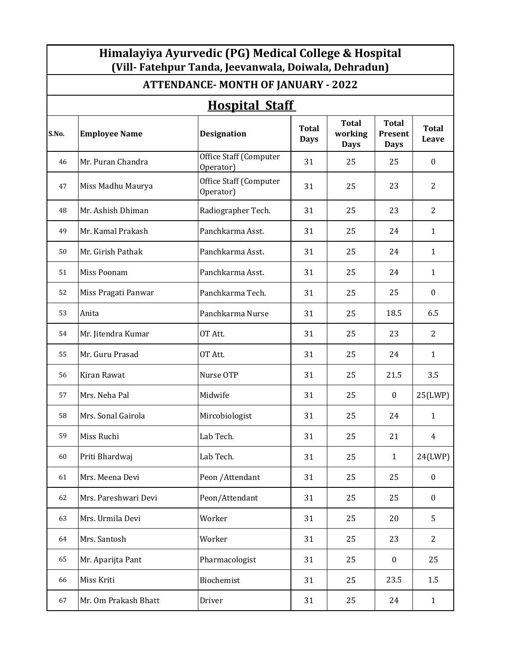| Himalayiya Ayurvedic (PG) Medical College & Hospital<br>(Vill-Fatehpur Tanda, Jeevanwala, Doiwala, Dehradun) |                                            |                                            |                             |                                        |                                        |                       |  |  |
|--------------------------------------------------------------------------------------------------------------|--------------------------------------------|--------------------------------------------|-----------------------------|----------------------------------------|----------------------------------------|-----------------------|--|--|
|                                                                                                              | <b>ATTENDANCE- MONTH OF JANUARY - 2022</b> |                                            |                             |                                        |                                        |                       |  |  |
|                                                                                                              | <b>Hospital Staff</b>                      |                                            |                             |                                        |                                        |                       |  |  |
| S.No.                                                                                                        | <b>Employee Name</b>                       | <b>Designation</b>                         | <b>Total</b><br><b>Days</b> | <b>Total</b><br>working<br><b>Days</b> | <b>Total</b><br>Present<br><b>Days</b> | <b>Total</b><br>Leave |  |  |
| 46                                                                                                           | Mr. Puran Chandra                          | Office Staff (Computer<br>Operator)        | 31                          | 25                                     | 25                                     | $\boldsymbol{0}$      |  |  |
| 47                                                                                                           | Miss Madhu Maurya                          | <b>Office Staff (Computer</b><br>Operator) | 31                          | 25                                     | 23                                     | $\overline{2}$        |  |  |
| 48                                                                                                           | Mr. Ashish Dhiman                          | Radiographer Tech.                         | 31                          | 25                                     | 23                                     | 2                     |  |  |
| 49                                                                                                           | Mr. Kamal Prakash                          | Panchkarma Asst.                           | 31                          | 25                                     | 24                                     | $\mathbf{1}$          |  |  |
| 50                                                                                                           | Mr. Girish Pathak                          | Panchkarma Asst.                           | 31                          | 25                                     | 24                                     | $\mathbf{1}$          |  |  |
| 51                                                                                                           | Miss Poonam                                | Panchkarma Asst.                           | 31                          | 25                                     | 24                                     | $\mathbf{1}$          |  |  |
| 52                                                                                                           | Miss Pragati Panwar                        | Panchkarma Tech.                           | 31                          | 25                                     | 25                                     | $\boldsymbol{0}$      |  |  |
| 53                                                                                                           | Anita                                      | Panchkarma Nurse                           | 31                          | 25                                     | 18.5                                   | 6.5                   |  |  |
| 54                                                                                                           | Mr. Jitendra Kumar                         | OT Att.                                    | 31                          | 25                                     | 23                                     | $\overline{2}$        |  |  |
| 55                                                                                                           | Mr. Guru Prasad                            | OT Att.                                    | 31                          | 25                                     | 24                                     | $\mathbf{1}$          |  |  |
| 56                                                                                                           | Kiran Rawat                                | Nurse OTP                                  | 31                          | 25                                     | 21.5                                   | 3.5                   |  |  |
| 57                                                                                                           | Mrs. Neha Pal                              | Midwife                                    | 31                          | 25                                     | $\boldsymbol{0}$                       | 25(LWP)               |  |  |
| 58                                                                                                           | Mrs. Sonal Gairola                         | Mircobiologist                             | 31                          | 25                                     | 24                                     | $\mathbf{1}$          |  |  |
| 59                                                                                                           | Miss Ruchi                                 | Lab Tech.                                  | 31                          | 25                                     | 21                                     | 4                     |  |  |
| 60                                                                                                           | Priti Bhardwaj                             | Lab Tech.                                  | 31                          | 25                                     | $\mathbf{1}$                           | 24(LWP)               |  |  |
| 61                                                                                                           | Mrs. Meena Devi                            | Peon / Attendant                           | 31                          | 25                                     | 25                                     | $\boldsymbol{0}$      |  |  |
| 62                                                                                                           | Mrs. Pareshwari Devi                       | Peon/Attendant                             | 31                          | 25                                     | 25                                     | $\boldsymbol{0}$      |  |  |
| 63                                                                                                           | Mrs. Urmila Devi                           | Worker                                     | 31                          | 25                                     | 20                                     | 5                     |  |  |
| 64                                                                                                           | Mrs. Santosh                               | Worker                                     | 31                          | 25                                     | 23                                     | $\overline{2}$        |  |  |
| 65                                                                                                           | Mr. Aparijta Pant                          | Pharmacologist                             | 31                          | 25                                     | $\boldsymbol{0}$                       | 25                    |  |  |
| 66                                                                                                           | Miss Kriti                                 | Biochemist                                 | 31                          | 25                                     | 23.5                                   | 1.5                   |  |  |
| 67                                                                                                           | Mr. Om Prakash Bhatt                       | Driver                                     | 31                          | 25                                     | 24                                     | $\mathbf{1}$          |  |  |